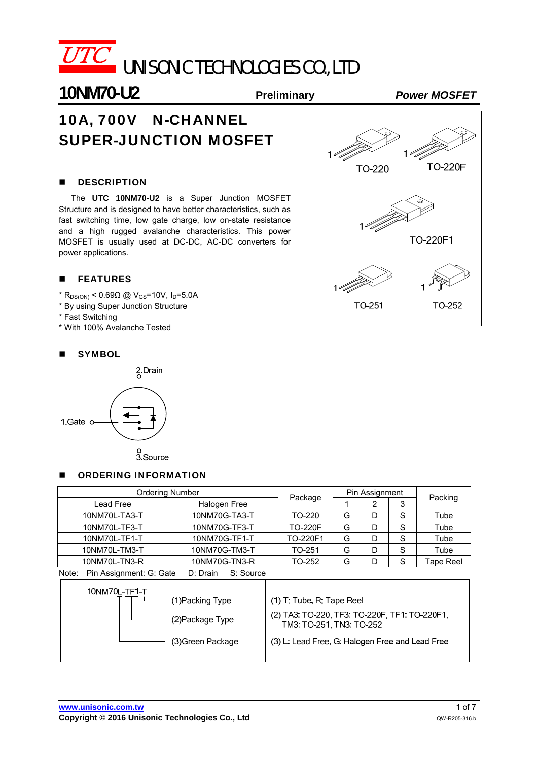

UNISONIC TECHNOLOGIES CO., LTD

# **10NM70-U2 Preliminary** *Power MOSFET*

# 10A, 700V N-CHANNEL SUPER-JUNCTION MOSFET

#### **DESCRIPTION**

The **UTC 10NM70-U2** is a Super Junction MOSFET Structure and is designed to have better characteristics, such as fast switching time, low gate charge, low on-state resistance and a high rugged avalanche characteristics. This power MOSFET is usually used at DC-DC, AC-DC converters for power applications.

#### **FEATURES**

- $*$  R<sub>DS(ON)</sub> < 0.69Ω @ V<sub>GS</sub>=10V, I<sub>D</sub>=5.0A
- \* By using Super Junction Structure
- \* Fast Switching
- \* With 100% Avalanche Tested



#### **SYMBOL**



#### **DECISION INFORMATION**

| <b>Ordering Number</b>                                    |               | Pin Assignment |   |   |   |                  |
|-----------------------------------------------------------|---------------|----------------|---|---|---|------------------|
| Lead Free                                                 | Halogen Free  | Package        |   | 3 |   | Packing          |
| 10NM70L-TA3-T                                             | 10NM70G-TA3-T | TO-220         | G | D | S | Tube             |
| 10NM70L-TF3-T                                             | 10NM70G-TF3-T | <b>TO-220F</b> | G | D | S | Tube             |
| 10NM70L-TF1-T                                             | 10NM70G-TF1-T | TO-220F1       | G | D | S | Tube             |
| 10NM70L-TM3-T                                             | 10NM70G-TM3-T | TO-251         | G | D | S | Tube             |
| 10NM70L-TN3-R                                             | 10NM70G-TN3-R | TO-252         | G |   | S | <b>Tape Reel</b> |
| Pin Assignment: G: Gate<br>D: Drain<br>S: Source<br>Note: |               |                |   |   |   |                  |

| 10NM70L-TF1-T<br>(1)Packing Type | $(1)$ T: Tube, R: Tape Reel                                               |
|----------------------------------|---------------------------------------------------------------------------|
| (2) Package Type                 | (2) TA3: TO-220, TF3: TO-220F, TF1: TO-220F1,<br>TM3: TO-251, TN3: TO-252 |
| (3) Green Package                | (3) L: Lead Free, G: Halogen Free and Lead Free                           |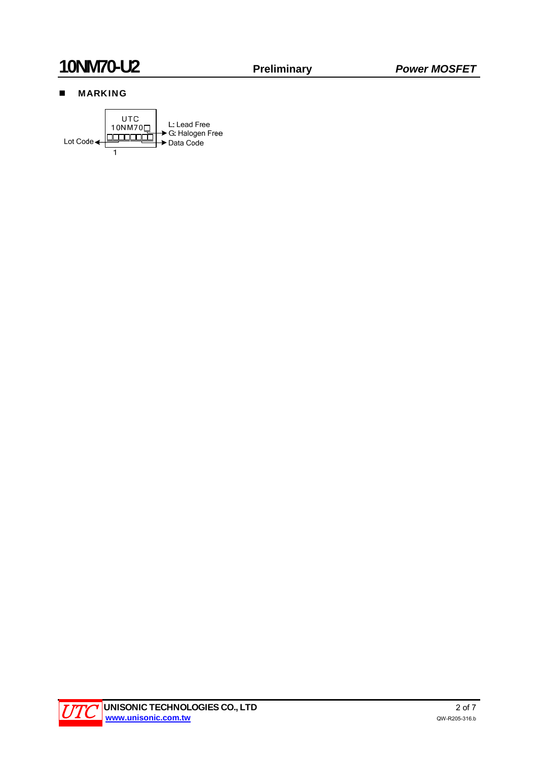# **10NM70-U2 Preliminary** *Power MOSFET*

## **MARKING**



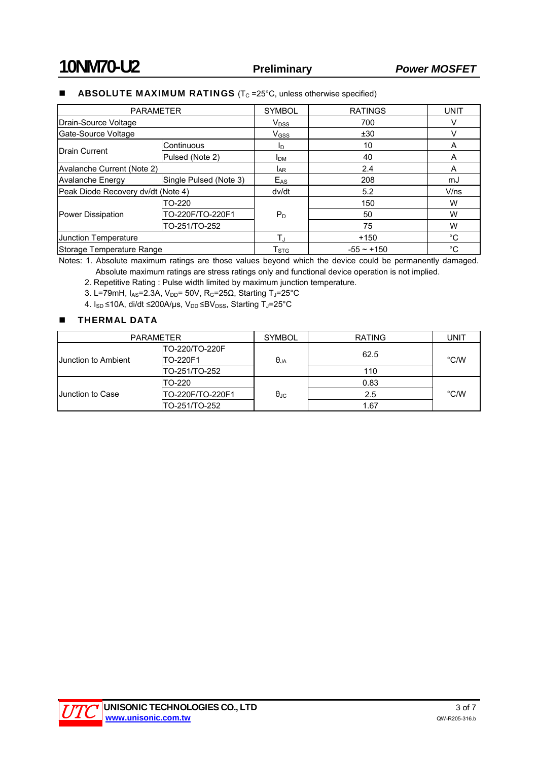### **ABSOLUTE MAXIMUM RATINGS** ( $T_c$  =25 $^{\circ}$ C, unless otherwise specified)

| <b>PARAMETER</b>                   |                        | <b>SYMBOL</b>             | <b>RATINGS</b>  | <b>UNIT</b> |
|------------------------------------|------------------------|---------------------------|-----------------|-------------|
| Drain-Source Voltage               |                        | $V_{DSS}$                 | 700             |             |
| Gate-Source Voltage                |                        |                           | ±30             |             |
|                                    | Continuous             | ID.                       | 10              | A           |
| <b>IDrain Current</b>              | Pulsed (Note 2)        | <b>I</b> DM               | 40              | A           |
| Avalanche Current (Note 2)         | <b>LAR</b>             |                           | 2.4             | A           |
| <b>Avalanche Energy</b>            | Single Pulsed (Note 3) | $E_{AS}$                  | 208             | mJ          |
| Peak Diode Recovery dv/dt (Note 4) |                        |                           | 5.2             | V/ns        |
| Power Dissipation                  | TO-220                 |                           | 150             | W           |
|                                    | TO-220F/TO-220F1       | $P_D$                     | 50              | W           |
|                                    | TO-251/TO-252          |                           | 75              | W           |
| Junction Temperature               |                        | $T_{\rm J}$               | $+150$          | $^{\circ}C$ |
| Storage Temperature Range          |                        | $\mathsf{T}_{\text{STG}}$ | $-55 \sim +150$ | $^{\circ}C$ |

Notes: 1. Absolute maximum ratings are those values beyond which the device could be permanently damaged. Absolute maximum ratings are stress ratings only and functional device operation is not implied.

2. Repetitive Rating : Pulse width limited by maximum junction temperature.

3. L=79mH,  $I_{AS}$ =2.3A,  $V_{DD}$ = 50V, R<sub>G</sub>=25 $\Omega$ , Starting T<sub>J</sub>=25°C

4.  $I_{SD}$  ≤10A, di/dt ≤200A/μs, V<sub>DD</sub> ≤BV<sub>DSS</sub>, Starting T<sub>J</sub>=25°C

#### **THERMAL DATA**

| <b>PARAMETER</b>           |                            | <b>SYMBOL</b>     | <b>RATING</b> | UNIT          |  |
|----------------------------|----------------------------|-------------------|---------------|---------------|--|
| <b>Uunction to Ambient</b> | TO-220/TO-220F<br>TO-220F1 | $\theta_{JA}$     | 62.5          | $\degree$ C/W |  |
|                            | TO-251/TO-252              |                   | 110           |               |  |
| <b>Junction to Case</b>    | TO-220                     |                   | 0.83          |               |  |
|                            | TO-220F/TO-220F1           | $\theta_{\rm JC}$ | 2.5           | $\degree$ C/W |  |
|                            | TO-251/TO-252              |                   | 1.67          |               |  |

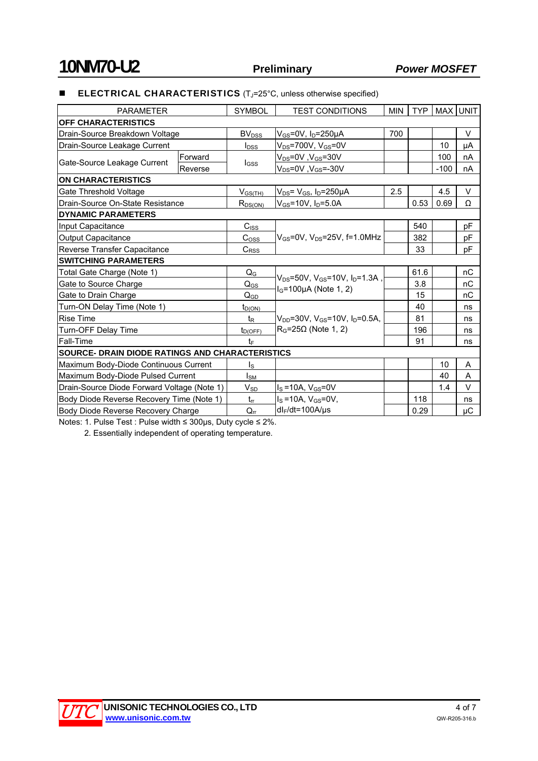### **ELECTRICAL CHARACTERISTICS** (T<sub>J</sub>=25°C, unless otherwise specified)

| <b>PARAMETER</b>                            |                                                        | <b>SYMBOL</b>           | <b>TEST CONDITIONS</b>                                     | <b>MIN</b> | <b>TYP</b> |        | MAX UNIT |  |
|---------------------------------------------|--------------------------------------------------------|-------------------------|------------------------------------------------------------|------------|------------|--------|----------|--|
| <b>OFF CHARACTERISTICS</b>                  |                                                        |                         |                                                            |            |            |        |          |  |
| Drain-Source Breakdown Voltage              |                                                        | BV <sub>DSS</sub>       | $V_{GS}$ =0V, $I_D$ =250µA                                 | 700        |            |        | $\vee$   |  |
| Drain-Source Leakage Current                |                                                        | I <sub>DSS</sub>        | $V_{DS}$ =700V, $V_{GS}$ =0V                               |            |            | 10     | μA       |  |
| Gate-Source Leakage Current                 | Forward                                                | $_{\text{GSS}}$         | $V_{DS} = 0V$ , $V_{GS} = 30V$                             |            |            | 100    | nA       |  |
|                                             | Reverse                                                |                         | $V_{DS}$ =0V, $V_{GS}$ =-30V                               |            |            | $-100$ | nA       |  |
| <b>ON CHARACTERISTICS</b>                   |                                                        |                         |                                                            |            |            |        |          |  |
| Gate Threshold Voltage                      |                                                        | $V_{GS(TH)}$            | $V_{DS}$ = $V_{GS}$ , $I_D$ =250µA                         | 2.5        |            | 4.5    | $\vee$   |  |
|                                             | Drain-Source On-State Resistance                       |                         | $V_{GS}$ =10V, $I_D$ =5.0A                                 |            | 0.53       | 0.69   | Ω        |  |
| <b>DYNAMIC PARAMETERS</b>                   |                                                        |                         |                                                            |            |            |        |          |  |
| Input Capacitance                           |                                                        | C <sub>ISS</sub>        |                                                            |            | 540        |        | pF       |  |
| Output Capacitance                          |                                                        | $C_{OSS}$               | $V_{GS}$ =0V, $V_{DS}$ =25V, f=1.0MHz                      |            | 382        |        | pF       |  |
| Reverse Transfer Capacitance                |                                                        | $C_{RSS}$               |                                                            |            | 33         |        | pF       |  |
| <b>SWITCHING PARAMETERS</b>                 |                                                        |                         |                                                            |            |            |        |          |  |
| Total Gate Charge (Note 1)                  |                                                        | $Q_{\rm G}$             | $V_{DS} = 50V$ , $V_{GS} = 10V$ , $I_D = 1.3A$ ,           |            | 61.6       |        | nC       |  |
| Gate to Source Charge                       |                                                        | $Q_{GS}$                |                                                            |            | 3.8        |        | nC       |  |
| Gate to Drain Charge                        |                                                        | $Q_{GD}$                | $I_G$ =100µA (Note 1, 2)<br>15                             |            |            |        | nC       |  |
| Turn-ON Delay Time (Note 1)                 |                                                        | $t_{D(ON)}$             |                                                            |            | 40         |        | ns       |  |
| <b>Rise Time</b>                            |                                                        | $t_{\mathsf{R}}$        | $V_{DD}$ =30V, V <sub>GS</sub> =10V, I <sub>D</sub> =0.5A, |            | 81         |        | ns       |  |
| Turn-OFF Delay Time                         |                                                        | $t_{D(OFF)}$            | $R_G = 25\Omega$ (Note 1, 2)                               |            | 196        |        | ns       |  |
| Fall-Time                                   |                                                        | $t_{\text{F}}$          |                                                            |            | 91         |        | ns       |  |
|                                             | <b>SOURCE- DRAIN DIODE RATINGS AND CHARACTERISTICS</b> |                         |                                                            |            |            |        |          |  |
| Maximum Body-Diode Continuous Current       |                                                        | $\mathsf{I}_\mathsf{S}$ |                                                            |            |            | 10     | A        |  |
| Maximum Body-Diode Pulsed Current           |                                                        | I <sub>SM</sub>         |                                                            |            |            | 40     | A        |  |
| Drain-Source Diode Forward Voltage (Note 1) |                                                        | $V_{SD}$                | $I_S = 10A$ , $V_{GS} = 0V$                                |            |            | 1.4    | $\vee$   |  |
| Body Diode Reverse Recovery Time (Note 1)   |                                                        | $t_{rr}$                | $I_S = 10A$ , $V_{GS} = 0V$ ,                              |            | 118        |        | ns       |  |
| Body Diode Reverse Recovery Charge          |                                                        | $Q_{rr}$                | $dl_F/dt = 100A/\mu s$                                     |            | 0.29       |        | μC       |  |

Notes: 1. Pulse Test : Pulse width ≤ 300μs, Duty cycle ≤ 2%.

2. Essentially independent of operating temperature.

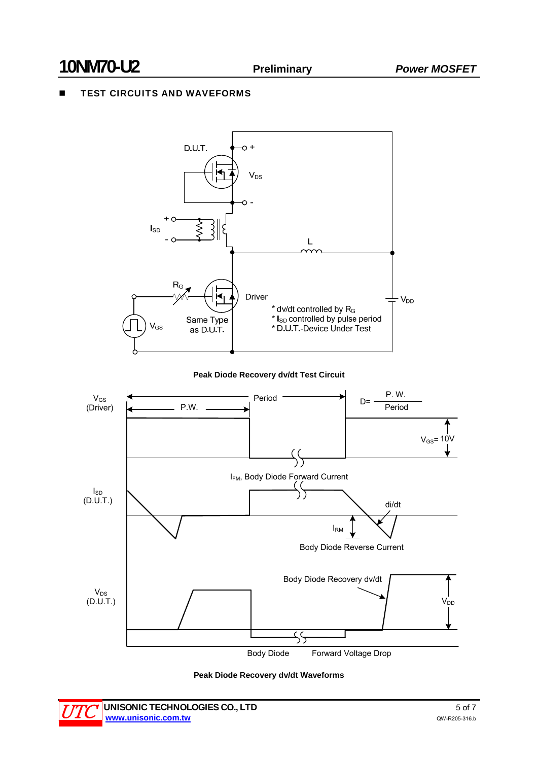## TEST CIRCUITS AND WAVEFORMS





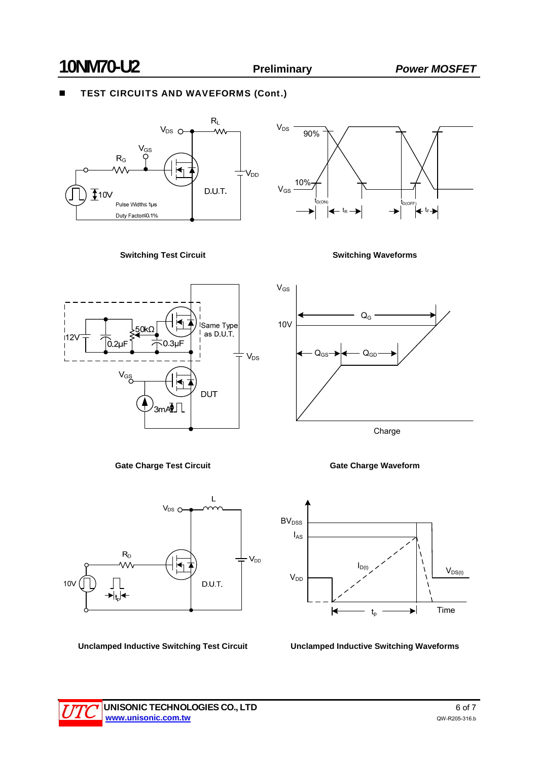# **10NM70-U2 Preliminary** *Power MOSFET*

10V

 $V_{GS}$ 

# TEST CIRCUITS AND WAVEFORMS (Cont.)





**Switching Test Circuit Switching Waveforms**





QG



**Gate Charge Test Circuit Gate Charge Waveform**



**Unclamped Inductive Switching Test Circuit Unclamped Inductive Switching Waveforms**

 $Q_{\text{GS}} \rightarrow \downarrow \leftarrow Q_{\text{GD}}$ 

Charge